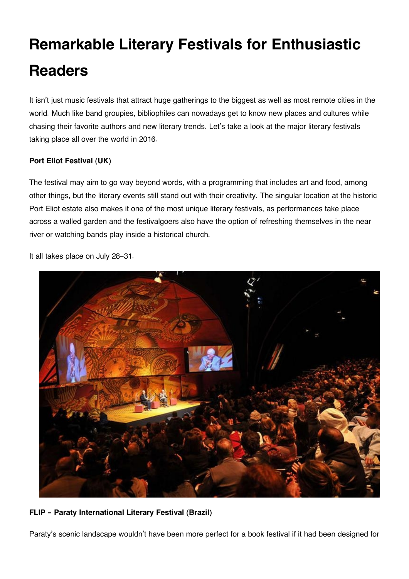# **Remarkable Literary Festivals for Enthusiastic Readers**

It isn't just music festivals that attract huge gatherings to the biggest as well as most remote cities in the world. Much like band groupies, bibliophiles can nowadays get to know new places and cultures while chasing their favorite authors and new literary trends. Let's take a look at the major literary festivals taking place all over the world in 2016.

## **Port Eliot Festival (UK)**

The festival may aim to go way beyond words, with a programming that includes art and food, among other things, but the literary events still stand out with their creativity. The singular location at the historic Port Eliot estate also makes it one of the most unique literary festivals, as performances take place across a walled garden and the festivalgoers also have the option of refreshing themselves in the near river or watching bands play inside a historical church.

It all takes place on July 28-31.



## **FLIP - Paraty International Literary Festival (Brazil)**

Paraty's scenic landscape wouldn't have been more perfect for a book festival if it had been designed for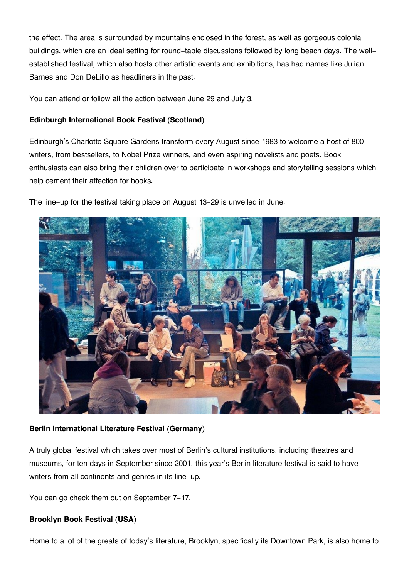the effect. The area is surrounded by mountains enclosed in the forest, as well as gorgeous colonial buildings, which are an ideal setting for round-table discussions followed by long beach days. The wellestablished festival, which also hosts other artistic events and exhibitions, has had names like Julian Barnes and Don DeLillo as headliners in the past.

You can attend or follow all the action between June 29 and July 3.

## **Edinburgh International Book Festival (Scotland)**

Edinburgh's Charlotte Square Gardens transform every August since 1983 to welcome a host of 800 writers, from bestsellers, to Nobel Prize winners, and even aspiring novelists and poets. Book enthusiasts can also bring their children over to participate in workshops and storytelling sessions which help cement their affection for books.

The line-up for the festival taking place on August 13-29 is unveiled in June.



## **Berlin International Literature Festival (Germany)**

A truly global festival which takes over most of Berlin's cultural institutions, including theatres and museums, for ten days in September since 2001, this year's Berlin literature festival is said to have writers from all continents and genres in its line-up.

You can go check them out on September 7-17.

## **Brooklyn Book Festival (USA)**

Home to a lot of the greats of today's literature, Brooklyn, specifically its Downtown Park, is also home to